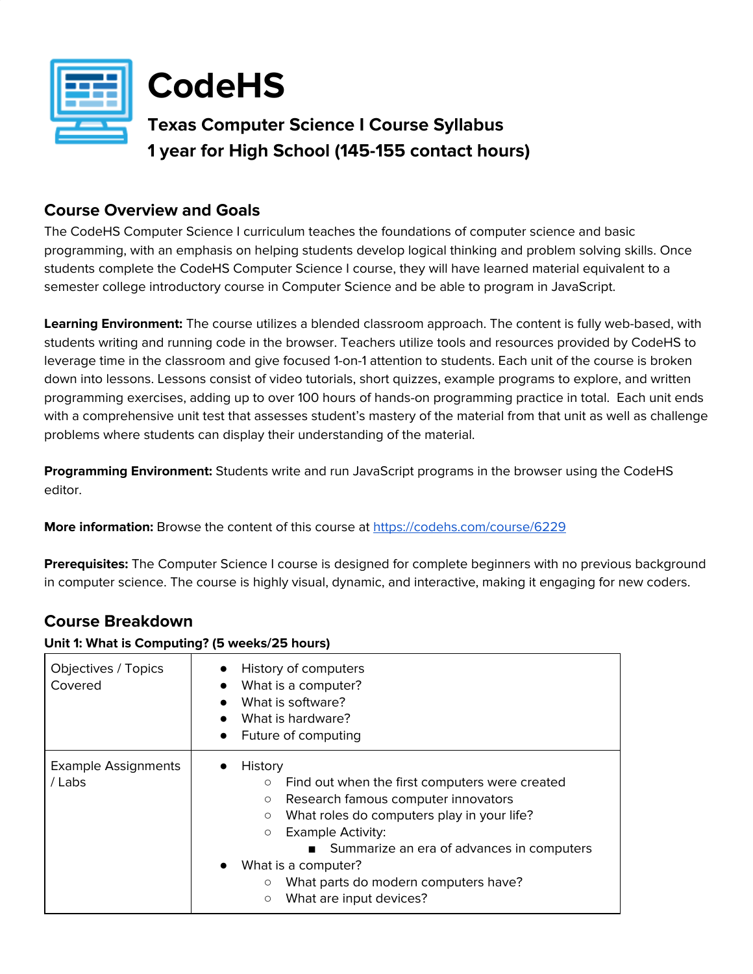



# **Texas Computer Science I Course Syllabus 1 year for High School (145-155 contact hours)**

## **Course Overview and Goals**

The CodeHS Computer Science I curriculum teaches the foundations of computer science and basic programming, with an emphasis on helping students develop logical thinking and problem solving skills. Once students complete the CodeHS Computer Science I course, they will have learned material equivalent to a semester college introductory course in Computer Science and be able to program in JavaScript.

**Learning Environment:** The course utilizes a blended classroom approach. The content is fully web-based, with students writing and running code in the browser. Teachers utilize tools and resources provided by CodeHS to leverage time in the classroom and give focused 1-on-1 attention to students. Each unit of the course is broken down into lessons. Lessons consist of video tutorials, short quizzes, example programs to explore, and written programming exercises, adding up to over 100 hours of hands-on programming practice in total. Each unit ends with a comprehensive unit test that assesses student's mastery of the material from that unit as well as challenge problems where students can display their understanding of the material.

**Programming Environment:** Students write and run JavaScript programs in the browser using the CodeHS editor.

**More information:** Browse the content of this course at <https://codehs.com/course/6229>

**Prerequisites:** The Computer Science I course is designed for complete beginners with no previous background in computer science. The course is highly visual, dynamic, and interactive, making it engaging for new coders.

# **Course Breakdown**

### **Unit 1: What is Computing? (5 weeks/25 hours)**

| Objectives / Topics<br>Covered       | History of computers<br>What is a computer?<br>$\bullet$<br>What is software?<br>What is hardware?<br>$\bullet$<br>Future of computing<br>$\bullet$                                                                                                                                                                                                                                                          |
|--------------------------------------|--------------------------------------------------------------------------------------------------------------------------------------------------------------------------------------------------------------------------------------------------------------------------------------------------------------------------------------------------------------------------------------------------------------|
| <b>Example Assignments</b><br>/ Labs | History<br>Find out when the first computers were created<br>$\circ$<br>Research famous computer innovators<br>$\circ$<br>What roles do computers play in your life?<br>$\circ$<br><b>Example Activity:</b><br>$\circ$<br>Summarize an era of advances in computers<br>What is a computer?<br>$\bullet$<br>What parts do modern computers have?<br>$\circlearrowright$<br>What are input devices?<br>$\circ$ |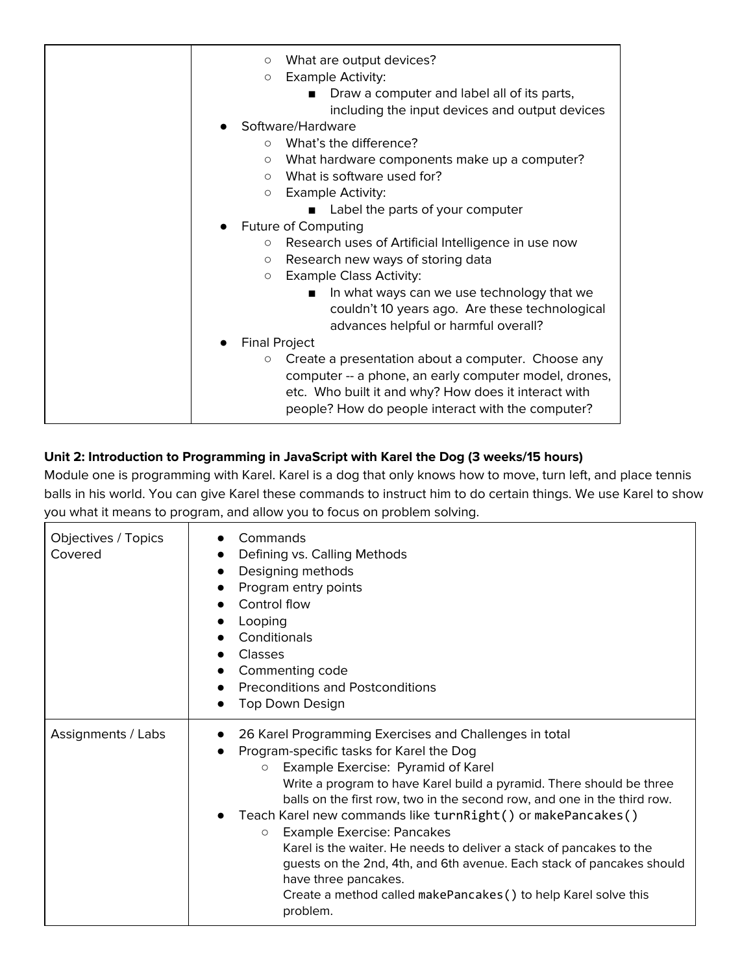|         | What are output devices?<br>$\circ$                           |
|---------|---------------------------------------------------------------|
|         | <b>Example Activity:</b><br>$\circ$                           |
|         | Draw a computer and label all of its parts,                   |
|         | including the input devices and output devices                |
|         | Software/Hardware                                             |
|         | What's the difference?<br>$\bigcirc$                          |
|         | What hardware components make up a computer?<br>$\circ$       |
|         | What is software used for?<br>$\circ$                         |
|         | <b>Example Activity:</b><br>$\circ$                           |
|         | Label the parts of your computer                              |
|         | <b>Future of Computing</b>                                    |
| $\circ$ | Research uses of Artificial Intelligence in use now           |
|         | Research new ways of storing data<br>$\circ$                  |
|         | <b>Example Class Activity:</b><br>$\circ$                     |
|         | In what ways can we use technology that we<br>п               |
|         | couldn't 10 years ago. Are these technological                |
|         | advances helpful or harmful overall?                          |
|         | <b>Final Project</b>                                          |
|         |                                                               |
|         | Create a presentation about a computer. Choose any<br>$\circ$ |
|         | computer -- a phone, an early computer model, drones,         |
|         | etc. Who built it and why? How does it interact with          |
|         | people? How do people interact with the computer?             |

# **Unit 2: Introduction to Programming in JavaScript with Karel the Dog (3 weeks/15 hours)**

Module one is programming with Karel. Karel is a dog that only knows how to move, turn left, and place tennis balls in his world. You can give Karel these commands to instruct him to do certain things. We use Karel to show you what it means to program, and allow you to focus on problem solving.

| Objectives / Topics<br>Covered | Commands<br>Defining vs. Calling Methods<br>Designing methods<br>Program entry points<br>Control flow<br>Looping<br>Conditionals<br>Classes<br>Commenting code<br><b>Preconditions and Postconditions</b><br>Top Down Design                                                                                                                                                                                                                                                                                                                                                                                                                                                  |
|--------------------------------|-------------------------------------------------------------------------------------------------------------------------------------------------------------------------------------------------------------------------------------------------------------------------------------------------------------------------------------------------------------------------------------------------------------------------------------------------------------------------------------------------------------------------------------------------------------------------------------------------------------------------------------------------------------------------------|
| Assignments / Labs             | 26 Karel Programming Exercises and Challenges in total<br>Program-specific tasks for Karel the Dog<br>Example Exercise: Pyramid of Karel<br>$\circ$<br>Write a program to have Karel build a pyramid. There should be three<br>balls on the first row, two in the second row, and one in the third row.<br>Teach Karel new commands like turnRight() or makePancakes()<br><b>Example Exercise: Pancakes</b><br>$\circ$<br>Karel is the waiter. He needs to deliver a stack of pancakes to the<br>guests on the 2nd, 4th, and 6th avenue. Each stack of pancakes should<br>have three pancakes.<br>Create a method called makePancakes () to help Karel solve this<br>problem. |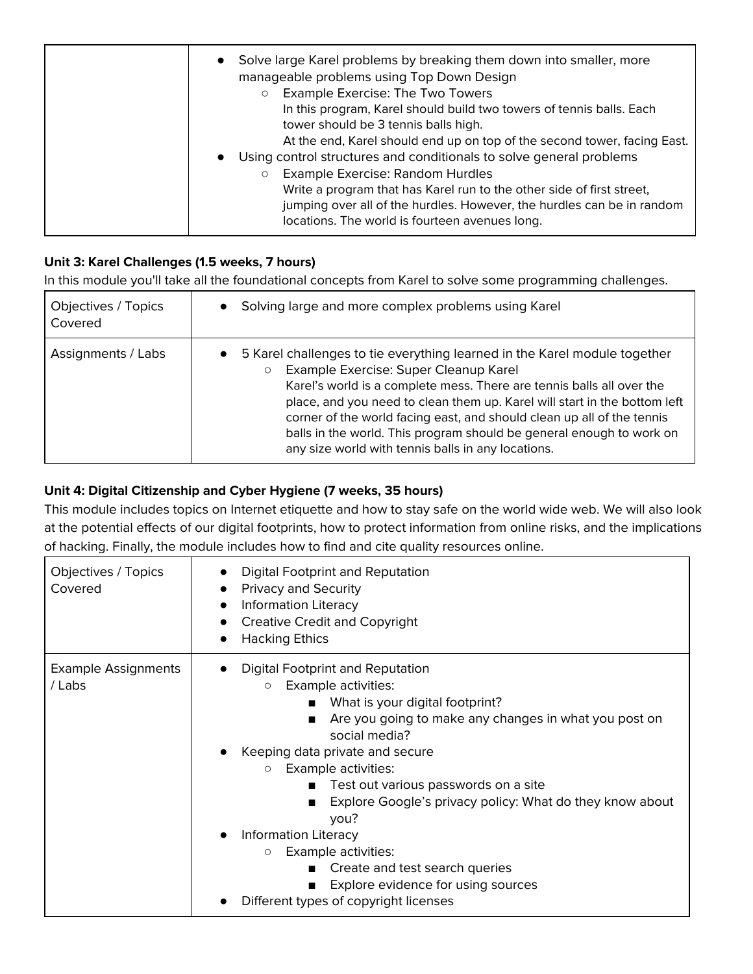| Solve large Karel problems by breaking them down into smaller, more<br>$\bullet$<br>manageable problems using Top Down Design<br><b>Example Exercise: The Two Towers</b><br>$\circ$<br>In this program, Karel should build two towers of tennis balls. Each<br>tower should be 3 tennis balls high.<br>At the end, Karel should end up on top of the second tower, facing East.<br>Using control structures and conditionals to solve general problems<br>$\bullet$<br>Example Exercise: Random Hurdles<br>$\circ$<br>Write a program that has Karel run to the other side of first street,<br>jumping over all of the hurdles. However, the hurdles can be in random<br>locations. The world is fourteen avenues long. |
|-------------------------------------------------------------------------------------------------------------------------------------------------------------------------------------------------------------------------------------------------------------------------------------------------------------------------------------------------------------------------------------------------------------------------------------------------------------------------------------------------------------------------------------------------------------------------------------------------------------------------------------------------------------------------------------------------------------------------|
|-------------------------------------------------------------------------------------------------------------------------------------------------------------------------------------------------------------------------------------------------------------------------------------------------------------------------------------------------------------------------------------------------------------------------------------------------------------------------------------------------------------------------------------------------------------------------------------------------------------------------------------------------------------------------------------------------------------------------|

## **Unit 3: Karel Challenges (1.5 weeks, 7 hours)**

In this module you'll take all the foundational concepts from Karel to solve some programming challenges.

| Objectives / Topics<br>Covered | Solving large and more complex problems using Karel                                                                                                                                                                                                                                                                                                                                                                                                                                                      |
|--------------------------------|----------------------------------------------------------------------------------------------------------------------------------------------------------------------------------------------------------------------------------------------------------------------------------------------------------------------------------------------------------------------------------------------------------------------------------------------------------------------------------------------------------|
| Assignments / Labs             | 5 Karel challenges to tie everything learned in the Karel module together<br>$\bullet$<br>Example Exercise: Super Cleanup Karel<br>$\circ$<br>Karel's world is a complete mess. There are tennis balls all over the<br>place, and you need to clean them up. Karel will start in the bottom left<br>corner of the world facing east, and should clean up all of the tennis<br>balls in the world. This program should be general enough to work on<br>any size world with tennis balls in any locations. |

## **Unit 4: Digital Citizenship and Cyber Hygiene (7 weeks, 35 hours)**

This module includes topics on Internet etiquette and how to stay safe on the world wide web. We will also look at the potential effects of our digital footprints, how to protect information from online risks, and the implications of hacking. Finally, the module includes how to find and cite quality resources online.

| Objectives / Topics<br>Covered       | <b>Digital Footprint and Reputation</b><br><b>Privacy and Security</b><br><b>Information Literacy</b><br>$\bullet$<br><b>Creative Credit and Copyright</b><br><b>Hacking Ethics</b>                                                                                                                                                                                                                                                                                                                                                                                                    |
|--------------------------------------|----------------------------------------------------------------------------------------------------------------------------------------------------------------------------------------------------------------------------------------------------------------------------------------------------------------------------------------------------------------------------------------------------------------------------------------------------------------------------------------------------------------------------------------------------------------------------------------|
| <b>Example Assignments</b><br>/ Labs | <b>Digital Footprint and Reputation</b><br>Example activities:<br>$\circ$<br>What is your digital footprint?<br>Are you going to make any changes in what you post on<br>$\blacksquare$<br>social media?<br>Keeping data private and secure<br>Example activities:<br>$\circ$<br>Test out various passwords on a site<br>$\blacksquare$<br>Explore Google's privacy policy: What do they know about<br>you?<br>Information Literacy<br>Example activities:<br>$\circ$<br>Create and test search queries<br>Explore evidence for using sources<br>Different types of copyright licenses |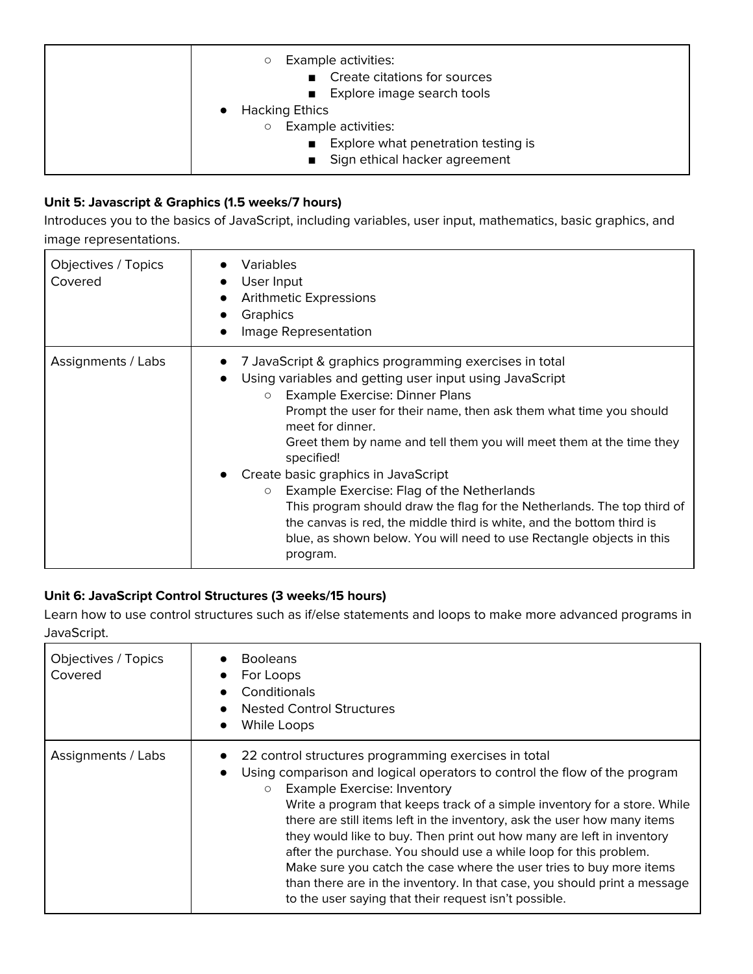| Example activities:<br>$\circlearrowright$<br>■ Create citations for sources<br>Explore image search tools<br><b>Hacking Ethics</b><br>Example activities:<br>$\circ$ |
|-----------------------------------------------------------------------------------------------------------------------------------------------------------------------|
| ■ Explore what penetration testing is<br>Sign ethical hacker agreement                                                                                                |

## **Unit 5: Javascript & Graphics (1.5 weeks/7 hours)**

Introduces you to the basics of JavaScript, including variables, user input, mathematics, basic graphics, and image representations.

| Objectives / Topics<br>Covered | Variables<br>User Input<br><b>Arithmetic Expressions</b><br>Graphics<br>Image Representation                                                                                                                                                                                                                                                                                                                                                                                                                                                                                                                                                                                          |
|--------------------------------|---------------------------------------------------------------------------------------------------------------------------------------------------------------------------------------------------------------------------------------------------------------------------------------------------------------------------------------------------------------------------------------------------------------------------------------------------------------------------------------------------------------------------------------------------------------------------------------------------------------------------------------------------------------------------------------|
| Assignments / Labs             | 7 JavaScript & graphics programming exercises in total<br>Using variables and getting user input using JavaScript<br>Example Exercise: Dinner Plans<br>$\circ$<br>Prompt the user for their name, then ask them what time you should<br>meet for dinner.<br>Greet them by name and tell them you will meet them at the time they<br>specified!<br>Create basic graphics in JavaScript<br>Example Exercise: Flag of the Netherlands<br>$\circ$<br>This program should draw the flag for the Netherlands. The top third of<br>the canvas is red, the middle third is white, and the bottom third is<br>blue, as shown below. You will need to use Rectangle objects in this<br>program. |

## **Unit 6: JavaScript Control Structures (3 weeks/15 hours)**

Learn how to use control structures such as if/else statements and loops to make more advanced programs in JavaScript.

| Objectives / Topics<br>Covered | <b>Booleans</b><br>For Loops<br>Conditionals<br><b>Nested Control Structures</b><br>While Loops<br>$\bullet$                                                                                                                                                                                                                                                                                                                                                                                                                                                                                                                                                                                           |
|--------------------------------|--------------------------------------------------------------------------------------------------------------------------------------------------------------------------------------------------------------------------------------------------------------------------------------------------------------------------------------------------------------------------------------------------------------------------------------------------------------------------------------------------------------------------------------------------------------------------------------------------------------------------------------------------------------------------------------------------------|
| Assignments / Labs             | 22 control structures programming exercises in total<br>Using comparison and logical operators to control the flow of the program<br><b>Example Exercise: Inventory</b><br>$\circ$<br>Write a program that keeps track of a simple inventory for a store. While<br>there are still items left in the inventory, ask the user how many items<br>they would like to buy. Then print out how many are left in inventory<br>after the purchase. You should use a while loop for this problem.<br>Make sure you catch the case where the user tries to buy more items<br>than there are in the inventory. In that case, you should print a message<br>to the user saying that their request isn't possible. |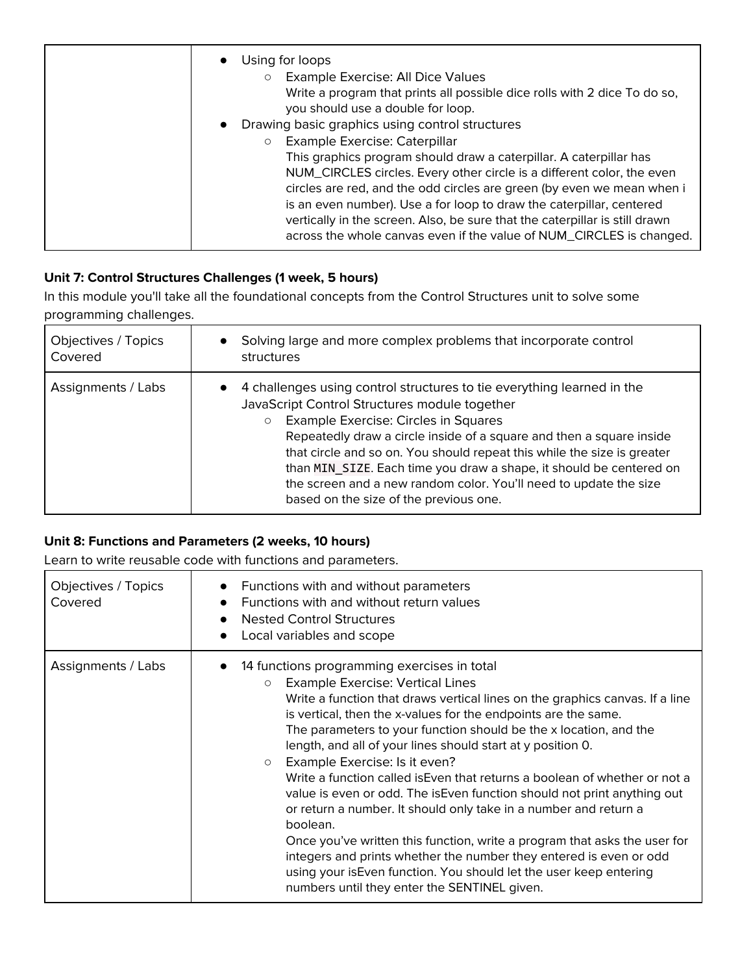| Using for loops<br>Example Exercise: All Dice Values<br>$\circ$<br>Write a program that prints all possible dice rolls with 2 dice To do so,<br>you should use a double for loop.                                                                                                                                                                                                                                                                     |
|-------------------------------------------------------------------------------------------------------------------------------------------------------------------------------------------------------------------------------------------------------------------------------------------------------------------------------------------------------------------------------------------------------------------------------------------------------|
| Drawing basic graphics using control structures<br>$\bullet$<br>Example Exercise: Caterpillar<br>$\circ$                                                                                                                                                                                                                                                                                                                                              |
| This graphics program should draw a caterpillar. A caterpillar has<br>NUM_CIRCLES circles. Every other circle is a different color, the even<br>circles are red, and the odd circles are green (by even we mean when i<br>is an even number). Use a for loop to draw the caterpillar, centered<br>vertically in the screen. Also, be sure that the caterpillar is still drawn<br>across the whole canvas even if the value of NUM_CIRCLES is changed. |

## **Unit 7: Control Structures Challenges (1 week, 5 hours)**

In this module you'll take all the foundational concepts from the Control Structures unit to solve some programming challenges.

| Objectives / Topics<br>Covered | Solving large and more complex problems that incorporate control<br>$\bullet$<br>structures                                                                                                                                                                                                                                                                                                                                                                                                                                      |
|--------------------------------|----------------------------------------------------------------------------------------------------------------------------------------------------------------------------------------------------------------------------------------------------------------------------------------------------------------------------------------------------------------------------------------------------------------------------------------------------------------------------------------------------------------------------------|
| Assignments / Labs             | 4 challenges using control structures to tie everything learned in the<br>$\bullet$<br>JavaScript Control Structures module together<br>Example Exercise: Circles in Squares<br>$\circ$<br>Repeatedly draw a circle inside of a square and then a square inside<br>that circle and so on. You should repeat this while the size is greater<br>than MIN SIZE. Each time you draw a shape, it should be centered on<br>the screen and a new random color. You'll need to update the size<br>based on the size of the previous one. |

### **Unit 8: Functions and Parameters (2 weeks, 10 hours)**

Learn to write reusable code with functions and parameters.

| Objectives / Topics<br>Covered | Functions with and without parameters<br>Functions with and without return values<br>$\bullet$<br><b>Nested Control Structures</b><br>$\bullet$<br>Local variables and scope                                                                                                                                                                                                                                                                                                                                                                                                                                                                                                                                                                                                                                                                                                                                                                           |
|--------------------------------|--------------------------------------------------------------------------------------------------------------------------------------------------------------------------------------------------------------------------------------------------------------------------------------------------------------------------------------------------------------------------------------------------------------------------------------------------------------------------------------------------------------------------------------------------------------------------------------------------------------------------------------------------------------------------------------------------------------------------------------------------------------------------------------------------------------------------------------------------------------------------------------------------------------------------------------------------------|
| Assignments / Labs             | 14 functions programming exercises in total<br><b>Example Exercise: Vertical Lines</b><br>$\circ$<br>Write a function that draws vertical lines on the graphics canvas. If a line<br>is vertical, then the x-values for the endpoints are the same.<br>The parameters to your function should be the x location, and the<br>length, and all of your lines should start at y position 0.<br>Example Exercise: Is it even?<br>$\circ$<br>Write a function called is Even that returns a boolean of whether or not a<br>value is even or odd. The is Even function should not print anything out<br>or return a number. It should only take in a number and return a<br>boolean.<br>Once you've written this function, write a program that asks the user for<br>integers and prints whether the number they entered is even or odd<br>using your is Even function. You should let the user keep entering<br>numbers until they enter the SENTINEL given. |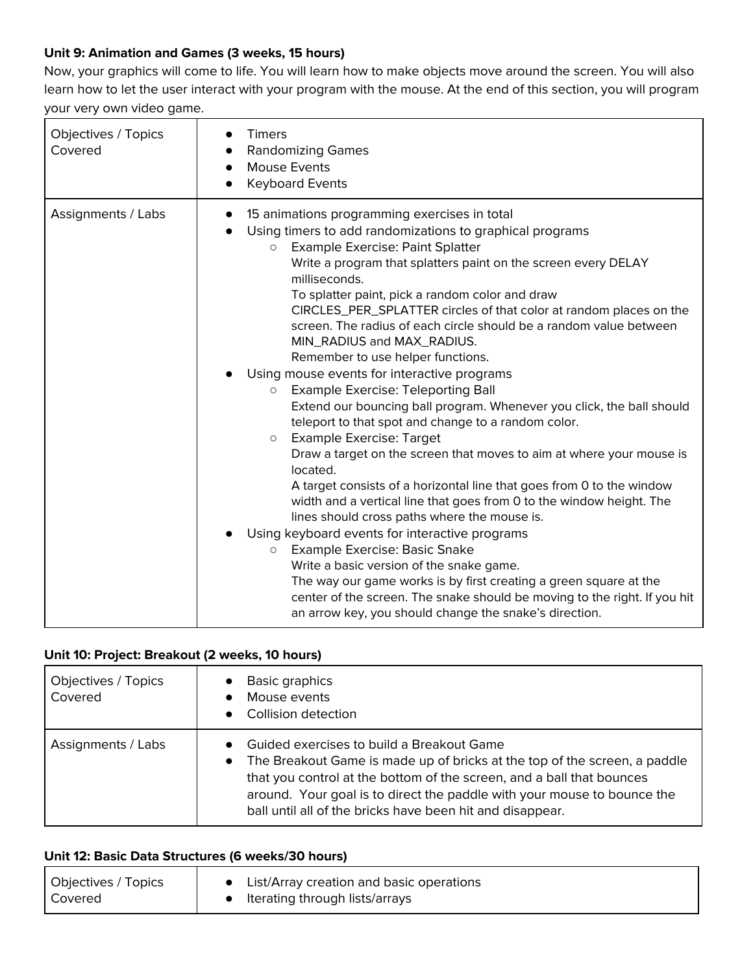### **Unit 9: Animation and Games (3 weeks, 15 hours)**

Now, your graphics will come to life. You will learn how to make objects move around the screen. You will also learn how to let the user interact with your program with the mouse. At the end of this section, you will program your very own video game.

| <b>Objectives / Topics</b><br>Covered | <b>Timers</b><br>$\bullet$<br><b>Randomizing Games</b><br><b>Mouse Events</b><br><b>Keyboard Events</b>                                                                                                                                                                                                                                                                                                                                                                                                                                                                                                                                                                                                                                                                                                                                                                                                                                                                                                                                                                                                                                                                                                                                                                                                                                                                                                                                      |
|---------------------------------------|----------------------------------------------------------------------------------------------------------------------------------------------------------------------------------------------------------------------------------------------------------------------------------------------------------------------------------------------------------------------------------------------------------------------------------------------------------------------------------------------------------------------------------------------------------------------------------------------------------------------------------------------------------------------------------------------------------------------------------------------------------------------------------------------------------------------------------------------------------------------------------------------------------------------------------------------------------------------------------------------------------------------------------------------------------------------------------------------------------------------------------------------------------------------------------------------------------------------------------------------------------------------------------------------------------------------------------------------------------------------------------------------------------------------------------------------|
| Assignments / Labs                    | 15 animations programming exercises in total<br>Using timers to add randomizations to graphical programs<br><b>Example Exercise: Paint Splatter</b><br>$\circ$<br>Write a program that splatters paint on the screen every DELAY<br>milliseconds.<br>To splatter paint, pick a random color and draw<br>CIRCLES_PER_SPLATTER circles of that color at random places on the<br>screen. The radius of each circle should be a random value between<br>MIN_RADIUS and MAX_RADIUS.<br>Remember to use helper functions.<br>Using mouse events for interactive programs<br>Example Exercise: Teleporting Ball<br>$\circ$<br>Extend our bouncing ball program. Whenever you click, the ball should<br>teleport to that spot and change to a random color.<br><b>Example Exercise: Target</b><br>$\circ$<br>Draw a target on the screen that moves to aim at where your mouse is<br>located.<br>A target consists of a horizontal line that goes from 0 to the window<br>width and a vertical line that goes from 0 to the window height. The<br>lines should cross paths where the mouse is.<br>Using keyboard events for interactive programs<br>Example Exercise: Basic Snake<br>$\circ$<br>Write a basic version of the snake game.<br>The way our game works is by first creating a green square at the<br>center of the screen. The snake should be moving to the right. If you hit<br>an arrow key, you should change the snake's direction. |

### **Unit 10: Project: Breakout (2 weeks, 10 hours)**

| Objectives / Topics<br>Covered | <b>Basic graphics</b><br>Mouse events<br>Collision detection                                                                                                                                                                                                                                                                                         |
|--------------------------------|------------------------------------------------------------------------------------------------------------------------------------------------------------------------------------------------------------------------------------------------------------------------------------------------------------------------------------------------------|
| Assignments / Labs             | Guided exercises to build a Breakout Game<br>The Breakout Game is made up of bricks at the top of the screen, a paddle<br>$\bullet$<br>that you control at the bottom of the screen, and a ball that bounces<br>around. Your goal is to direct the paddle with your mouse to bounce the<br>ball until all of the bricks have been hit and disappear. |

#### **Unit 12: Basic Data Structures (6 weeks/30 hours)**

| Objectives / Topics | List/Array creation and basic operations |
|---------------------|------------------------------------------|
| Covered             | Iterating through lists/arrays           |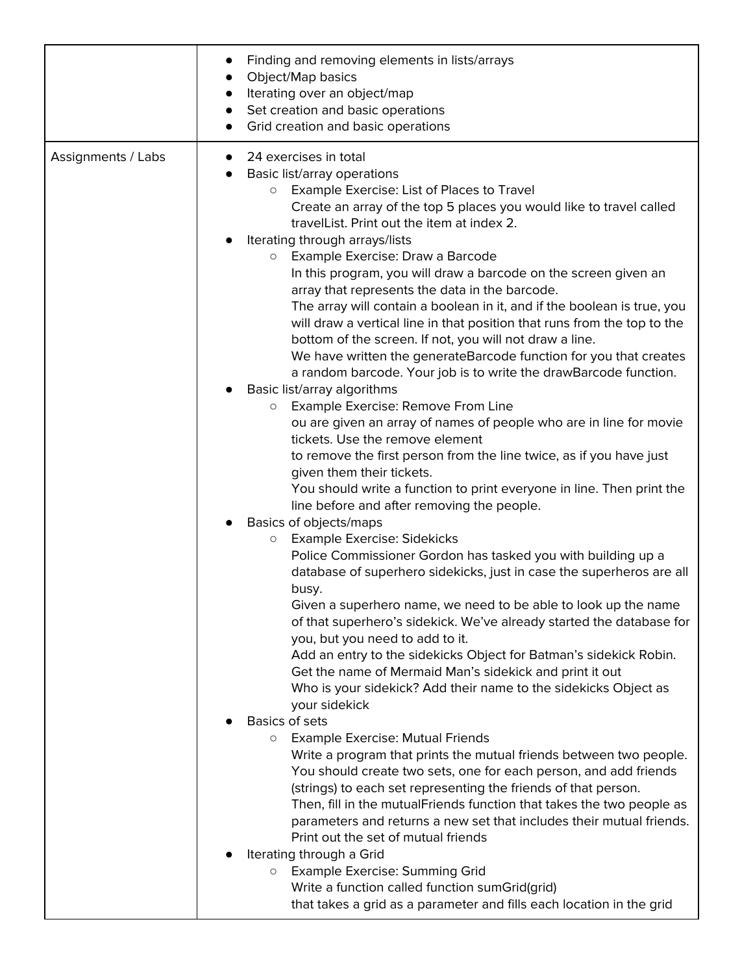|                    | Finding and removing elements in lists/arrays<br>Object/Map basics<br>Iterating over an object/map<br>Set creation and basic operations<br>$\bullet$<br>Grid creation and basic operations                                                                                                                                                                                                                                                                                                                                                                                                                                                                                                                                                                                                                                                                                                                                                                                                                                                                                                                                                                                                                                                                                                                                                                                                                                                                                                                                                                                                                                                                                                                                                                                                                                                       |
|--------------------|--------------------------------------------------------------------------------------------------------------------------------------------------------------------------------------------------------------------------------------------------------------------------------------------------------------------------------------------------------------------------------------------------------------------------------------------------------------------------------------------------------------------------------------------------------------------------------------------------------------------------------------------------------------------------------------------------------------------------------------------------------------------------------------------------------------------------------------------------------------------------------------------------------------------------------------------------------------------------------------------------------------------------------------------------------------------------------------------------------------------------------------------------------------------------------------------------------------------------------------------------------------------------------------------------------------------------------------------------------------------------------------------------------------------------------------------------------------------------------------------------------------------------------------------------------------------------------------------------------------------------------------------------------------------------------------------------------------------------------------------------------------------------------------------------------------------------------------------------|
| Assignments / Labs | 24 exercises in total<br>$\bullet$<br>Basic list/array operations<br>Example Exercise: List of Places to Travel<br>$\circ$<br>Create an array of the top 5 places you would like to travel called<br>travelList. Print out the item at index 2.<br>Iterating through arrays/lists<br>Example Exercise: Draw a Barcode<br>$\circ$<br>In this program, you will draw a barcode on the screen given an<br>array that represents the data in the barcode.<br>The array will contain a boolean in it, and if the boolean is true, you<br>will draw a vertical line in that position that runs from the top to the<br>bottom of the screen. If not, you will not draw a line.<br>We have written the generateBarcode function for you that creates<br>a random barcode. Your job is to write the drawBarcode function.<br>Basic list/array algorithms<br>Example Exercise: Remove From Line<br>$\circ$<br>ou are given an array of names of people who are in line for movie<br>tickets. Use the remove element<br>to remove the first person from the line twice, as if you have just<br>given them their tickets.<br>You should write a function to print everyone in line. Then print the<br>line before and after removing the people.<br>Basics of objects/maps<br><b>Example Exercise: Sidekicks</b><br>$\circ$<br>Police Commissioner Gordon has tasked you with building up a<br>database of superhero sidekicks, just in case the superheros are all<br>busy.<br>Given a superhero name, we need to be able to look up the name<br>of that superhero's sidekick. We've already started the database for<br>you, but you need to add to it.<br>Add an entry to the sidekicks Object for Batman's sidekick Robin.<br>Get the name of Mermaid Man's sidekick and print it out<br>Who is your sidekick? Add their name to the sidekicks Object as |
|                    | your sidekick<br><b>Basics of sets</b><br><b>Example Exercise: Mutual Friends</b><br>$\circ$<br>Write a program that prints the mutual friends between two people.<br>You should create two sets, one for each person, and add friends<br>(strings) to each set representing the friends of that person.<br>Then, fill in the mutualFriends function that takes the two people as<br>parameters and returns a new set that includes their mutual friends.<br>Print out the set of mutual friends<br>Iterating through a Grid<br><b>Example Exercise: Summing Grid</b><br>$\circ$                                                                                                                                                                                                                                                                                                                                                                                                                                                                                                                                                                                                                                                                                                                                                                                                                                                                                                                                                                                                                                                                                                                                                                                                                                                                 |
|                    | Write a function called function sumGrid(grid)<br>that takes a grid as a parameter and fills each location in the grid                                                                                                                                                                                                                                                                                                                                                                                                                                                                                                                                                                                                                                                                                                                                                                                                                                                                                                                                                                                                                                                                                                                                                                                                                                                                                                                                                                                                                                                                                                                                                                                                                                                                                                                           |